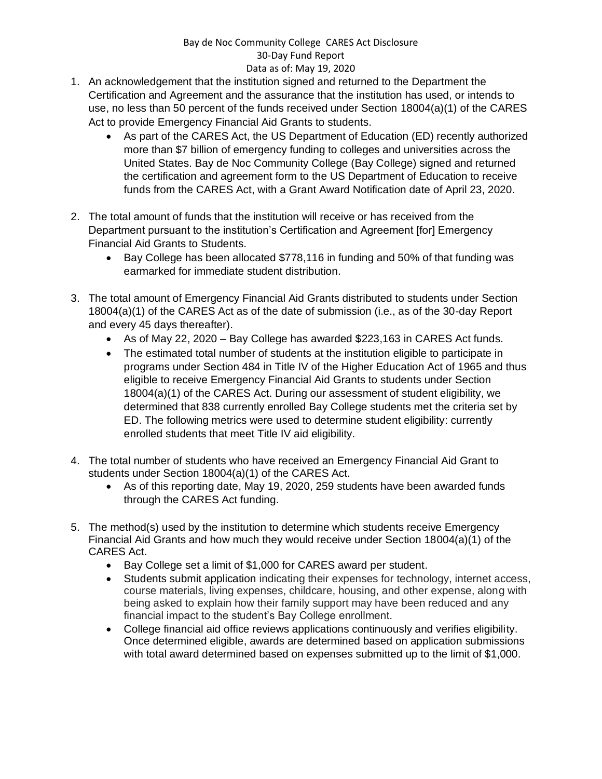## Bay de Noc Community College CARES Act Disclosure 30-Day Fund Report Data as of: May 19, 2020

- 1. An acknowledgement that the institution signed and returned to the Department the Certification and Agreement and the assurance that the institution has used, or intends to use, no less than 50 percent of the funds received under Section 18004(a)(1) of the CARES Act to provide Emergency Financial Aid Grants to students.
	- As part of the CARES Act, the US Department of Education (ED) recently authorized more than \$7 billion of emergency funding to colleges and universities across the United States. Bay de Noc Community College (Bay College) signed and returned the certification and agreement form to the US Department of Education to receive funds from the CARES Act, with a Grant Award Notification date of April 23, 2020.
- 2. The total amount of funds that the institution will receive or has received from the Department pursuant to the institution's Certification and Agreement [for] Emergency Financial Aid Grants to Students.
	- Bay College has been allocated \$778,116 in funding and 50% of that funding was earmarked for immediate student distribution.
- 3. The total amount of Emergency Financial Aid Grants distributed to students under Section 18004(a)(1) of the CARES Act as of the date of submission (i.e., as of the 30-day Report and every 45 days thereafter).
	- As of May 22, 2020 Bay College has awarded \$223,163 in CARES Act funds.
	- The estimated total number of students at the institution eligible to participate in programs under Section 484 in Title IV of the Higher Education Act of 1965 and thus eligible to receive Emergency Financial Aid Grants to students under Section 18004(a)(1) of the CARES Act. During our assessment of student eligibility, we determined that 838 currently enrolled Bay College students met the criteria set by ED. The following metrics were used to determine student eligibility: currently enrolled students that meet Title IV aid eligibility.
- 4. The total number of students who have received an Emergency Financial Aid Grant to students under Section 18004(a)(1) of the CARES Act.
	- As of this reporting date, May 19, 2020, 259 students have been awarded funds through the CARES Act funding.
- 5. The method(s) used by the institution to determine which students receive Emergency Financial Aid Grants and how much they would receive under Section 18004(a)(1) of the CARES Act.
	- Bay College set a limit of \$1,000 for CARES award per student.
	- Students submit application indicating their expenses for technology, internet access, course materials, living expenses, childcare, housing, and other expense, along with being asked to explain how their family support may have been reduced and any financial impact to the student's Bay College enrollment.
	- College financial aid office reviews applications continuously and verifies eligibility. Once determined eligible, awards are determined based on application submissions with total award determined based on expenses submitted up to the limit of \$1,000.